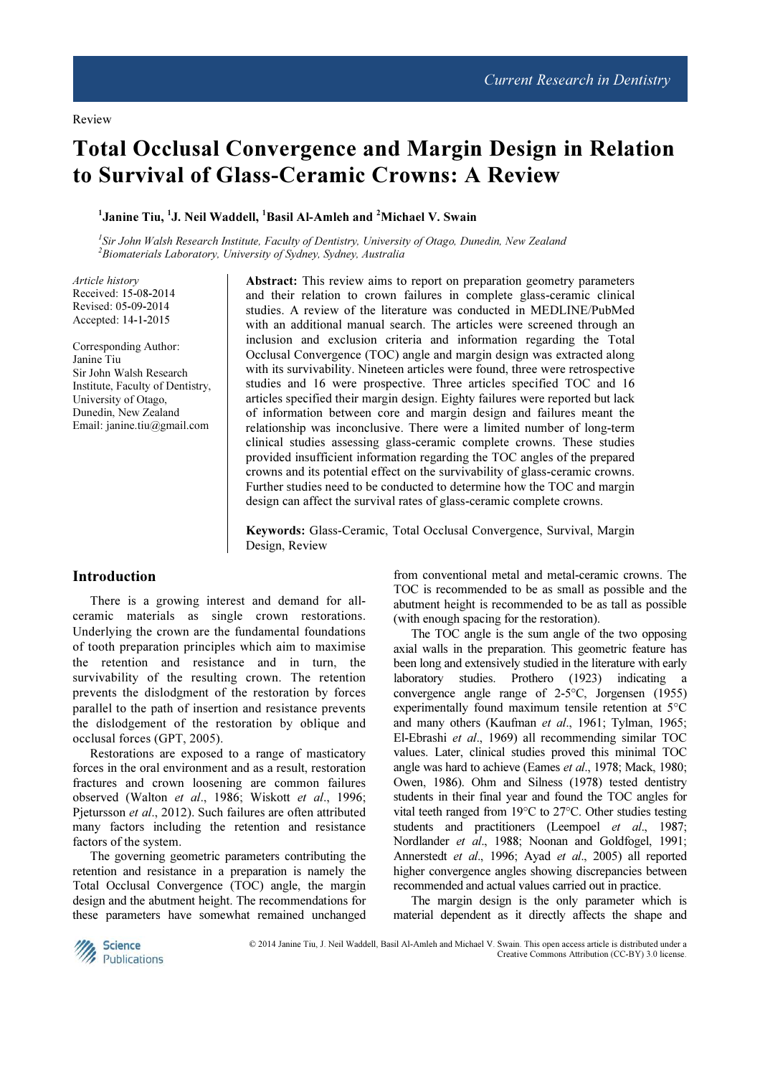# Total Occlusal Convergence and Margin Design in Relation to Survival of Glass-Ceramic Crowns: A Review

<sup>1</sup>Janine Tiu, <sup>1</sup>J. Neil Waddell, <sup>1</sup>Basil Al-Amleh and <sup>2</sup>Michael V. Swain

<sup>1</sup>Sir John Walsh Research Institute, Faculty of Dentistry, University of Otago, Dunedin, New Zealand  $2B$ iomaterials Laboratory, University of Sydney, Sydney, Australia

Article history Received: 15-08-2014 Revised: 05-09-2014 Accepted: 14-1-2015

Corresponding Author: Janine Tiu Sir John Walsh Research Institute, Faculty of Dentistry, University of Otago, Dunedin, New Zealand Email: janine.tiu@gmail.com

Abstract: This review aims to report on preparation geometry parameters and their relation to crown failures in complete glass-ceramic clinical studies. A review of the literature was conducted in MEDLINE/PubMed with an additional manual search. The articles were screened through an inclusion and exclusion criteria and information regarding the Total Occlusal Convergence (TOC) angle and margin design was extracted along with its survivability. Nineteen articles were found, three were retrospective studies and 16 were prospective. Three articles specified TOC and 16 articles specified their margin design. Eighty failures were reported but lack of information between core and margin design and failures meant the relationship was inconclusive. There were a limited number of long-term clinical studies assessing glass-ceramic complete crowns. These studies provided insufficient information regarding the TOC angles of the prepared crowns and its potential effect on the survivability of glass-ceramic crowns. Further studies need to be conducted to determine how the TOC and margin design can affect the survival rates of glass-ceramic complete crowns.

Keywords: Glass-Ceramic, Total Occlusal Convergence, Survival, Margin Design, Review

## Introduction

There is a growing interest and demand for allceramic materials as single crown restorations. Underlying the crown are the fundamental foundations of tooth preparation principles which aim to maximise the retention and resistance and in turn, the survivability of the resulting crown. The retention prevents the dislodgment of the restoration by forces parallel to the path of insertion and resistance prevents the dislodgement of the restoration by oblique and occlusal forces (GPT, 2005).

Restorations are exposed to a range of masticatory forces in the oral environment and as a result, restoration fractures and crown loosening are common failures observed (Walton et al., 1986; Wiskott et al., 1996; Pjetursson et al., 2012). Such failures are often attributed many factors including the retention and resistance factors of the system.

The governing geometric parameters contributing the retention and resistance in a preparation is namely the Total Occlusal Convergence (TOC) angle, the margin design and the abutment height. The recommendations for these parameters have somewhat remained unchanged from conventional metal and metal-ceramic crowns. The TOC is recommended to be as small as possible and the abutment height is recommended to be as tall as possible (with enough spacing for the restoration).

The TOC angle is the sum angle of the two opposing axial walls in the preparation. This geometric feature has been long and extensively studied in the literature with early laboratory studies. Prothero (1923) indicating a convergence angle range of 2-5°C, Jorgensen (1955) experimentally found maximum tensile retention at 5°C and many others (Kaufman et al., 1961; Tylman, 1965; El-Ebrashi et al., 1969) all recommending similar TOC values. Later, clinical studies proved this minimal TOC angle was hard to achieve (Eames et al., 1978; Mack, 1980; Owen, 1986). Ohm and Silness (1978) tested dentistry students in their final year and found the TOC angles for vital teeth ranged from 19°C to 27°C. Other studies testing students and practitioners (Leempoel et al., 1987; Nordlander et al., 1988; Noonan and Goldfogel, 1991; Annerstedt et al., 1996; Ayad et al., 2005) all reported higher convergence angles showing discrepancies between recommended and actual values carried out in practice.

The margin design is the only parameter which is material dependent as it directly affects the shape and



© 2014 Janine Tiu, J. Neil Waddell, Basil Al-Amleh and Michael V. Swain. This open access article is distributed under a Creative Commons Attribution (CC-BY) 3.0 license.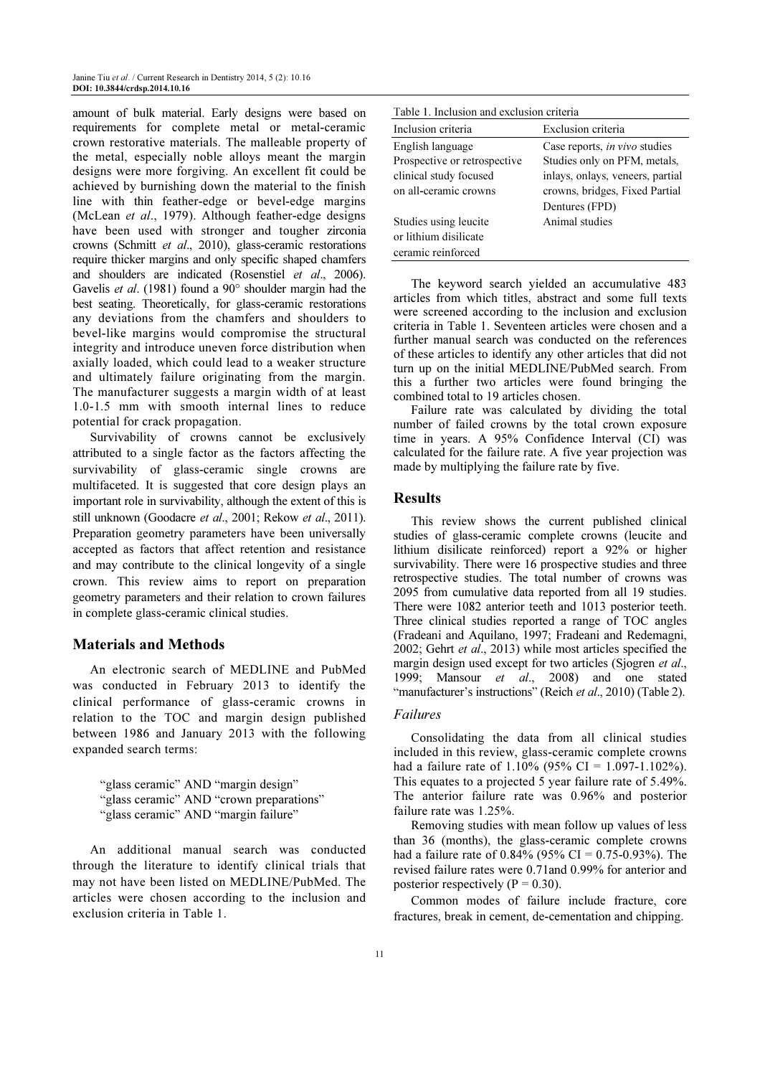amount of bulk material. Early designs were based on requirements for complete metal or metal-ceramic crown restorative materials. The malleable property of the metal, especially noble alloys meant the margin designs were more forgiving. An excellent fit could be achieved by burnishing down the material to the finish line with thin feather-edge or bevel-edge margins (McLean et al., 1979). Although feather-edge designs have been used with stronger and tougher zirconia crowns (Schmitt et al., 2010), glass-ceramic restorations require thicker margins and only specific shaped chamfers and shoulders are indicated (Rosenstiel et al., 2006). Gavelis et al. (1981) found a 90° shoulder margin had the best seating. Theoretically, for glass-ceramic restorations any deviations from the chamfers and shoulders to bevel-like margins would compromise the structural integrity and introduce uneven force distribution when axially loaded, which could lead to a weaker structure and ultimately failure originating from the margin. The manufacturer suggests a margin width of at least 1.0-1.5 mm with smooth internal lines to reduce potential for crack propagation.

Survivability of crowns cannot be exclusively attributed to a single factor as the factors affecting the survivability of glass-ceramic single crowns are multifaceted. It is suggested that core design plays an important role in survivability, although the extent of this is still unknown (Goodacre et al., 2001; Rekow et al., 2011). Preparation geometry parameters have been universally accepted as factors that affect retention and resistance and may contribute to the clinical longevity of a single crown. This review aims to report on preparation geometry parameters and their relation to crown failures in complete glass-ceramic clinical studies.

# Materials and Methods

An electronic search of MEDLINE and PubMed was conducted in February 2013 to identify the clinical performance of glass-ceramic crowns in relation to the TOC and margin design published between 1986 and January 2013 with the following expanded search terms:

"glass ceramic" AND "margin design" "glass ceramic" AND "crown preparations" "glass ceramic" AND "margin failure"

An additional manual search was conducted through the literature to identify clinical trials that may not have been listed on MEDLINE/PubMed. The articles were chosen according to the inclusion and exclusion criteria in Table 1.

| Table 1. Inclusion and exclusion criteria |                                      |  |  |  |  |  |  |
|-------------------------------------------|--------------------------------------|--|--|--|--|--|--|
| Inclusion criteria                        | Exclusion criteria                   |  |  |  |  |  |  |
| English language                          | Case reports, <i>in vivo</i> studies |  |  |  |  |  |  |
| Prospective or retrospective              | Studies only on PFM, metals,         |  |  |  |  |  |  |
| clinical study focused                    | inlays, onlays, veneers, partial     |  |  |  |  |  |  |
| on all-ceramic crowns                     | crowns, bridges, Fixed Partial       |  |  |  |  |  |  |
|                                           | Dentures (FPD)                       |  |  |  |  |  |  |
| Studies using leucite                     | Animal studies                       |  |  |  |  |  |  |
| or lithium disilicate                     |                                      |  |  |  |  |  |  |
| ceramic reinforced                        |                                      |  |  |  |  |  |  |

The keyword search yielded an accumulative 483 articles from which titles, abstract and some full texts were screened according to the inclusion and exclusion criteria in Table 1. Seventeen articles were chosen and a further manual search was conducted on the references of these articles to identify any other articles that did not turn up on the initial MEDLINE/PubMed search. From this a further two articles were found bringing the combined total to 19 articles chosen.

Failure rate was calculated by dividing the total number of failed crowns by the total crown exposure time in years. A 95% Confidence Interval (CI) was calculated for the failure rate. A five year projection was made by multiplying the failure rate by five.

#### **Results**

This review shows the current published clinical studies of glass-ceramic complete crowns (leucite and lithium disilicate reinforced) report a 92% or higher survivability. There were 16 prospective studies and three retrospective studies. The total number of crowns was 2095 from cumulative data reported from all 19 studies. There were 1082 anterior teeth and 1013 posterior teeth. Three clinical studies reported a range of TOC angles (Fradeani and Aquilano, 1997; Fradeani and Redemagni, 2002; Gehrt et al., 2013) while most articles specified the margin design used except for two articles (Sjogren et al., 1999; Mansour et al., 2008) and one stated "manufacturer's instructions" (Reich et al., 2010) (Table 2).

#### Failures

Consolidating the data from all clinical studies included in this review, glass-ceramic complete crowns had a failure rate of 1.10% (95% CI = 1.097-1.102%). This equates to a projected 5 year failure rate of 5.49%. The anterior failure rate was 0.96% and posterior failure rate was 1.25%.

Removing studies with mean follow up values of less than 36 (months), the glass-ceramic complete crowns had a failure rate of 0.84% (95% CI = 0.75-0.93%). The revised failure rates were 0.71and 0.99% for anterior and posterior respectively ( $P = 0.30$ ).

Common modes of failure include fracture, core fractures, break in cement, de-cementation and chipping.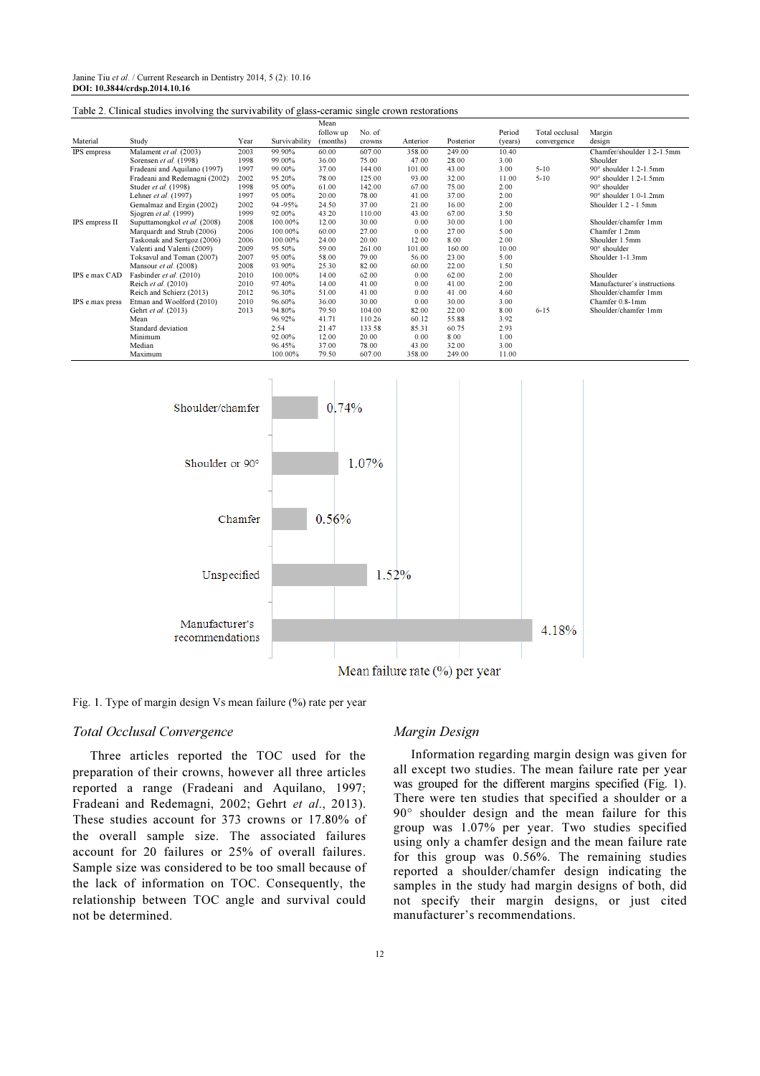| Table 2. Clinical studies involving the survivability of glass-ceramic single crown restorations |                                                   |              |                  |                   |                 |                |                                |              |                |                                                |
|--------------------------------------------------------------------------------------------------|---------------------------------------------------|--------------|------------------|-------------------|-----------------|----------------|--------------------------------|--------------|----------------|------------------------------------------------|
|                                                                                                  |                                                   |              |                  | Mean<br>follow up | No. of          |                |                                | Period       | Total occlusal | Margin                                         |
| Material                                                                                         | Study                                             | Year         | Survivability    | (months)          | crowns          | Anterior       | Posterior                      | (years)      | convergence    | design                                         |
| IPS empress                                                                                      | Malament et al. (2003)                            | 2003         | 99.90%           | 60.00             | 607.00          | 358.00         | 249.00                         | 10.40        |                | Chamfer/shoulder 1.2-1.5mm                     |
|                                                                                                  | Sorensen et al. (1998)                            | 1998         | 99.00%           | 36.00             | 75.00           | 47.00          | 28.00                          | 3.00         |                | Shoulder                                       |
|                                                                                                  | Fradeani and Aquilano (1997)                      | 1997         | 99.00%           | 37.00             | 144.00          | 101.00         | 43.00                          | 3.00         | $5 - 10$       | 90° shoulder 1.2-1.5mm                         |
|                                                                                                  | Fradeani and Redemagni (2002)                     | 2002         | 95.20%           | 78.00             | 125.00          | 93.00          | 32.00                          | 11.00        | $5 - 10$       | 90° shoulder 1.2-1.5mm                         |
|                                                                                                  | Studer et al. (1998)                              | 1998         | 95.00%           | 61.00             | 142.00          | 67.00          | 75.00                          | 2.00         |                | $90^\circ$ shoulder                            |
|                                                                                                  | Lehner et al. (1997)<br>Gemalmaz and Ergin (2002) | 1997<br>2002 | 95.00%<br>94-95% | 20.00<br>24.50    | 78.00<br>37.00  | 41.00<br>21.00 | 37.00<br>16.00                 | 2.00<br>2.00 |                | 90° shoulder 1.0-1.2mm<br>Shoulder 1.2 - 1.5mm |
|                                                                                                  | Sjogren et al. (1999)                             | 1999         | 92.00%           | 43.20             | 110.00          | 43.00          | 67.00                          | 3.50         |                |                                                |
| IPS empress II                                                                                   | Suputtamongkol et al. (2008)                      | 2008         | 100.00%          | 12.00             | 30.00           | 0.00           | 30.00                          | 1.00         |                | Shoulder/chamfer 1mm                           |
|                                                                                                  | Marquardt and Strub (2006)                        | 2006         | 100.00%          | 60.00             | 27.00           | 0.00           | 27.00                          | 5.00         |                | Chamfer 1.2mm                                  |
|                                                                                                  | Taskonak and Sertgoz (2006)                       | 2006         | 100.00%          | 24.00             | 20.00           | 12.00          | 8.00                           | 2.00         |                | Shoulder 1.5mm                                 |
|                                                                                                  | Valenti and Valenti (2009)                        | 2009         | 95.50%           | 59.00             | 261.00          | 101.00         | 160.00                         | 10.00        |                | 90° shoulder                                   |
|                                                                                                  | Toksavul and Toman (2007)                         | 2007         | 95.00%           | 58.00             | 79.00           | 56.00          | 23.00                          | 5.00         |                | Shoulder 1-1.3mm                               |
|                                                                                                  | Mansour et al. (2008)                             | 2008         | 93.90%           | 25.30             | 82.00           | 60.00          | 22.00                          | 1.50         |                |                                                |
| IPS e.max CAD                                                                                    | Fasbinder et al. (2010)                           | 2010         | 100.00%          | 14.00             | 62.00           | 0.00           | 62.00                          | 2.00         |                | Shoulder                                       |
|                                                                                                  | Reich et al. (2010)                               | 2010         | 97.40%           | 14.00             | 41.00           | 0.00           | 41.00                          | 2.00         |                | Manufacturer's instructions                    |
|                                                                                                  | Reich and Schierz (2013)                          | 2012         | 96.30%           | 51.00             | 41.00           | 0.00           | 41.00                          | 4.60         |                | Shoulder/chamfer 1mm                           |
| IPS e.max press                                                                                  | Etman and Woolford (2010)<br>Gehrt et al. (2013)  | 2010<br>2013 | 96.60%<br>94.80% | 36.00<br>79.50    | 30.00<br>104.00 | 0.00<br>82.00  | 30.00<br>22.00                 | 3.00<br>8.00 | $6 - 15$       | Chamfer 0.8-1mm<br>Shoulder/chamfer 1mm        |
|                                                                                                  | Mean                                              |              | 96.92%           | 41.71             | 110.26          | 60.12          | 55.88                          | 3.92         |                |                                                |
|                                                                                                  | Standard deviation                                |              | 2.54             | 21.47             | 133.58          | 85.31          | 60.75                          | 2.93         |                |                                                |
|                                                                                                  | Minimum                                           |              | 92.00%           | 12.00             | 20.00           | 0.00           | 8.00                           | 1.00         |                |                                                |
|                                                                                                  | Median                                            |              | 96.45%           | 37.00             | 78.00           | 43.00          | 32.00                          | 3.00         |                |                                                |
|                                                                                                  | Maximum                                           |              | 100.00%          | 79.50             | 607.00          | 358.00         | 249.00                         | 11.00        |                |                                                |
|                                                                                                  | Shoulder/chamfer<br>Shoulder or 90°               |              |                  | 0.74%             | 1.07%           |                |                                |              |                |                                                |
|                                                                                                  |                                                   | Chamfer      |                  | 0.56%             |                 | 1.52%          |                                |              |                |                                                |
|                                                                                                  | Unspecified<br>Manufacturer's                     |              |                  |                   |                 |                |                                |              | 4.18%          |                                                |
|                                                                                                  | recommendations                                   |              |                  |                   |                 |                | Mean failure rate (%) per year |              |                |                                                |
|                                                                                                  |                                                   |              |                  |                   |                 |                |                                |              |                |                                                |

Fig. 1. Type of margin design Vs mean failure (%) rate per year

#### Total Occlusal Convergence

Three articles reported the TOC used for the preparation of their crowns, however all three articles reported a range (Fradeani and Aquilano, 1997; Fradeani and Redemagni, 2002; Gehrt et al., 2013). These studies account for 373 crowns or 17.80% of the overall sample size. The associated failures account for 20 failures or 25% of overall failures. Sample size was considered to be too small because of the lack of information on TOC. Consequently, the relationship between TOC angle and survival could not be determined.

#### Margin Design

Information regarding margin design was given for all except two studies. The mean failure rate per year was grouped for the different margins specified (Fig. 1). There were ten studies that specified a shoulder or a 90° shoulder design and the mean failure for this group was 1.07% per year. Two studies specified using only a chamfer design and the mean failure rate for this group was 0.56%. The remaining studies reported a shoulder/chamfer design indicating the samples in the study had margin designs of both, did not specify their margin designs, or just cited manufacturer's recommendations.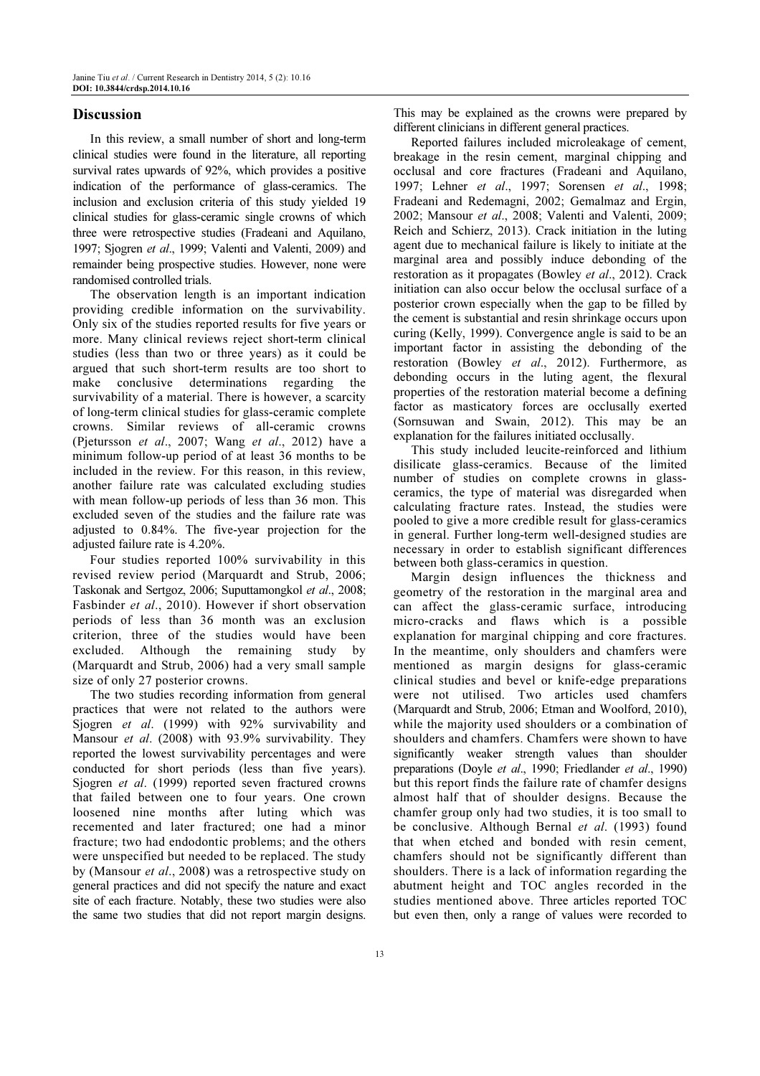## **Discussion**

In this review, a small number of short and long-term clinical studies were found in the literature, all reporting survival rates upwards of 92%, which provides a positive indication of the performance of glass-ceramics. The inclusion and exclusion criteria of this study yielded 19 clinical studies for glass-ceramic single crowns of which three were retrospective studies (Fradeani and Aquilano, 1997; Sjogren et al., 1999; Valenti and Valenti, 2009) and remainder being prospective studies. However, none were randomised controlled trials.

The observation length is an important indication providing credible information on the survivability. Only six of the studies reported results for five years or more. Many clinical reviews reject short-term clinical studies (less than two or three years) as it could be argued that such short-term results are too short to make conclusive determinations regarding the survivability of a material. There is however, a scarcity of long-term clinical studies for glass-ceramic complete crowns. Similar reviews of all-ceramic crowns (Pjetursson et al., 2007; Wang et al., 2012) have a minimum follow-up period of at least 36 months to be included in the review. For this reason, in this review, another failure rate was calculated excluding studies with mean follow-up periods of less than 36 mon. This excluded seven of the studies and the failure rate was adjusted to 0.84%. The five-year projection for the adjusted failure rate is 4.20%.

Four studies reported 100% survivability in this revised review period (Marquardt and Strub, 2006; Taskonak and Sertgoz, 2006; Suputtamongkol et al., 2008; Fasbinder et al., 2010). However if short observation periods of less than 36 month was an exclusion criterion, three of the studies would have been excluded. Although the remaining study by (Marquardt and Strub, 2006) had a very small sample size of only 27 posterior crowns.

The two studies recording information from general practices that were not related to the authors were Sjogren et al. (1999) with 92% survivability and Mansour et al. (2008) with 93.9% survivability. They reported the lowest survivability percentages and were conducted for short periods (less than five years). Sjogren et al. (1999) reported seven fractured crowns that failed between one to four years. One crown loosened nine months after luting which was recemented and later fractured; one had a minor fracture; two had endodontic problems; and the others were unspecified but needed to be replaced. The study by (Mansour et al., 2008) was a retrospective study on general practices and did not specify the nature and exact site of each fracture. Notably, these two studies were also the same two studies that did not report margin designs.

This may be explained as the crowns were prepared by different clinicians in different general practices.

Reported failures included microleakage of cement, breakage in the resin cement, marginal chipping and occlusal and core fractures (Fradeani and Aquilano, 1997; Lehner et al., 1997; Sorensen et al., 1998; Fradeani and Redemagni, 2002; Gemalmaz and Ergin, 2002; Mansour et al., 2008; Valenti and Valenti, 2009; Reich and Schierz, 2013). Crack initiation in the luting agent due to mechanical failure is likely to initiate at the marginal area and possibly induce debonding of the restoration as it propagates (Bowley et al., 2012). Crack initiation can also occur below the occlusal surface of a posterior crown especially when the gap to be filled by the cement is substantial and resin shrinkage occurs upon curing (Kelly, 1999). Convergence angle is said to be an important factor in assisting the debonding of the restoration (Bowley et al., 2012). Furthermore, as debonding occurs in the luting agent, the flexural properties of the restoration material become a defining factor as masticatory forces are occlusally exerted (Sornsuwan and Swain, 2012). This may be an explanation for the failures initiated occlusally.

This study included leucite-reinforced and lithium disilicate glass-ceramics. Because of the limited number of studies on complete crowns in glassceramics, the type of material was disregarded when calculating fracture rates. Instead, the studies were pooled to give a more credible result for glass-ceramics in general. Further long-term well-designed studies are necessary in order to establish significant differences between both glass-ceramics in question.

Margin design influences the thickness and geometry of the restoration in the marginal area and can affect the glass-ceramic surface, introducing micro-cracks and flaws which is a possible explanation for marginal chipping and core fractures. In the meantime, only shoulders and chamfers were mentioned as margin designs for glass-ceramic clinical studies and bevel or knife-edge preparations were not utilised. Two articles used chamfers (Marquardt and Strub, 2006; Etman and Woolford, 2010), while the majority used shoulders or a combination of shoulders and chamfers. Chamfers were shown to have significantly weaker strength values than shoulder preparations (Doyle et al., 1990; Friedlander et al., 1990) but this report finds the failure rate of chamfer designs almost half that of shoulder designs. Because the chamfer group only had two studies, it is too small to be conclusive. Although Bernal et al. (1993) found that when etched and bonded with resin cement, chamfers should not be significantly different than shoulders. There is a lack of information regarding the abutment height and TOC angles recorded in the studies mentioned above. Three articles reported TOC but even then, only a range of values were recorded to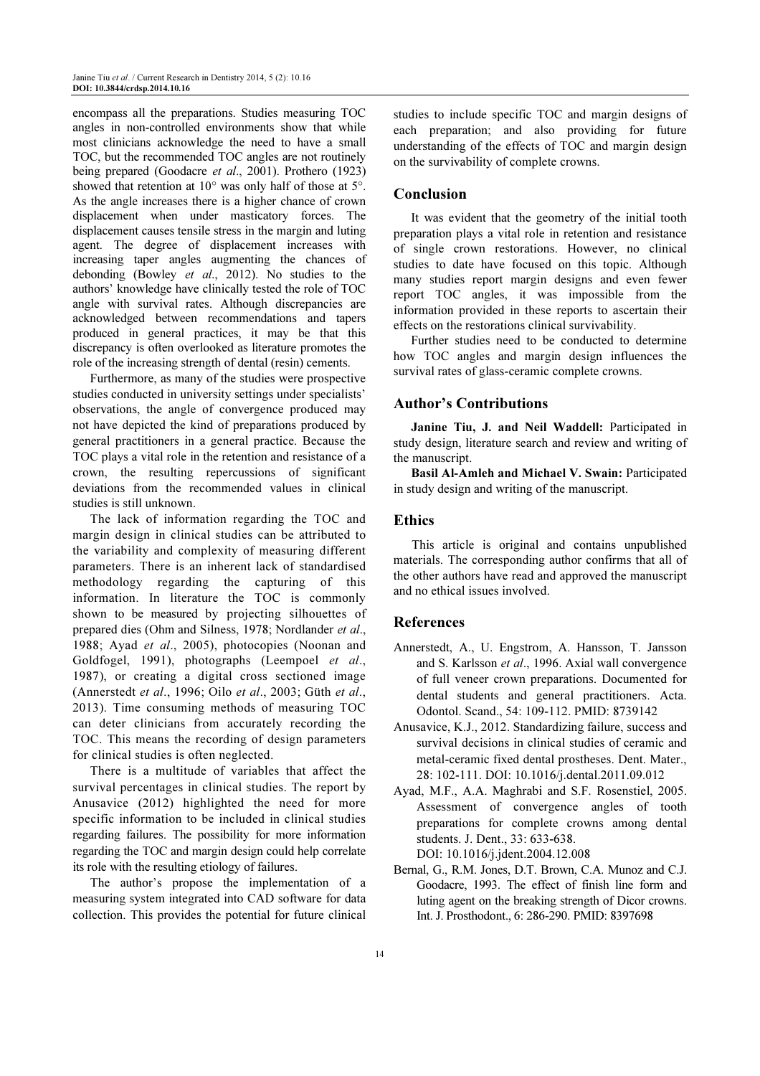encompass all the preparations. Studies measuring TOC angles in non-controlled environments show that while most clinicians acknowledge the need to have a small TOC, but the recommended TOC angles are not routinely being prepared (Goodacre *et al.*, 2001). Prothero (1923) showed that retention at 10° was only half of those at 5°. As the angle increases there is a higher chance of crown displacement when under masticatory forces. The displacement causes tensile stress in the margin and luting agent. The degree of displacement increases with increasing taper angles augmenting the chances of debonding (Bowley et al., 2012). No studies to the authors' knowledge have clinically tested the role of TOC angle with survival rates. Although discrepancies are acknowledged between recommendations and tapers produced in general practices, it may be that this discrepancy is often overlooked as literature promotes the role of the increasing strength of dental (resin) cements.

Furthermore, as many of the studies were prospective studies conducted in university settings under specialists' observations, the angle of convergence produced may not have depicted the kind of preparations produced by general practitioners in a general practice. Because the TOC plays a vital role in the retention and resistance of a crown, the resulting repercussions of significant deviations from the recommended values in clinical studies is still unknown.

The lack of information regarding the TOC and margin design in clinical studies can be attributed to the variability and complexity of measuring different parameters. There is an inherent lack of standardised methodology regarding the capturing of this information. In literature the TOC is commonly shown to be measured by projecting silhouettes of prepared dies (Ohm and Silness, 1978; Nordlander et al., 1988; Ayad et al., 2005), photocopies (Noonan and Goldfogel, 1991), photographs (Leempoel et al., 1987), or creating a digital cross sectioned image (Annerstedt et al., 1996; Oilo et al., 2003; Güth et al., 2013). Time consuming methods of measuring TOC can deter clinicians from accurately recording the TOC. This means the recording of design parameters for clinical studies is often neglected.

There is a multitude of variables that affect the survival percentages in clinical studies. The report by Anusavice (2012) highlighted the need for more specific information to be included in clinical studies regarding failures. The possibility for more information regarding the TOC and margin design could help correlate its role with the resulting etiology of failures.

The author's propose the implementation of a measuring system integrated into CAD software for data collection. This provides the potential for future clinical studies to include specific TOC and margin designs of each preparation; and also providing for future understanding of the effects of TOC and margin design on the survivability of complete crowns.

## Conclusion

It was evident that the geometry of the initial tooth preparation plays a vital role in retention and resistance of single crown restorations. However, no clinical studies to date have focused on this topic. Although many studies report margin designs and even fewer report TOC angles, it was impossible from the information provided in these reports to ascertain their effects on the restorations clinical survivability.

Further studies need to be conducted to determine how TOC angles and margin design influences the survival rates of glass-ceramic complete crowns.

## Author's Contributions

Janine Tiu, J. and Neil Waddell: Participated in study design, literature search and review and writing of the manuscript.

Basil Al-Amleh and Michael V. Swain: Participated in study design and writing of the manuscript.

# **Ethics**

This article is original and contains unpublished materials. The corresponding author confirms that all of the other authors have read and approved the manuscript and no ethical issues involved.

#### References

- Annerstedt, A., U. Engstrom, A. Hansson, T. Jansson and S. Karlsson et al., 1996. Axial wall convergence of full veneer crown preparations. Documented for dental students and general practitioners. Acta. Odontol. Scand., 54: 109-112. PMID: 8739142
- Anusavice, K.J., 2012. Standardizing failure, success and survival decisions in clinical studies of ceramic and metal-ceramic fixed dental prostheses. Dent. Mater., 28: 102-111. DOI: 10.1016/j.dental.2011.09.012
- Ayad, M.F., A.A. Maghrabi and S.F. Rosenstiel, 2005. Assessment of convergence angles of tooth preparations for complete crowns among dental students. J. Dent., 33: 633-638. DOI: 10.1016/j.jdent.2004.12.008
- Bernal, G., R.M. Jones, D.T. Brown, C.A. Munoz and C.J. Goodacre, 1993. The effect of finish line form and luting agent on the breaking strength of Dicor crowns. Int. J. Prosthodont., 6: 286-290. PMID: 8397698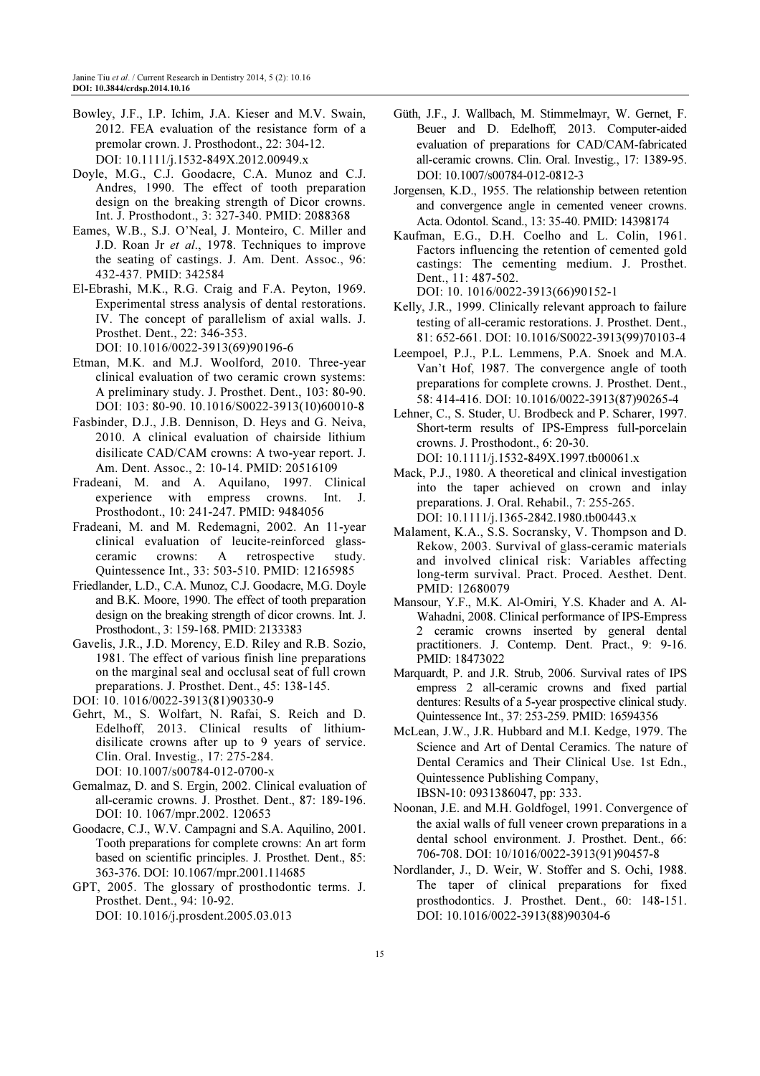- Bowley, J.F., I.P. Ichim, J.A. Kieser and M.V. Swain, 2012. FEA evaluation of the resistance form of a premolar crown. J. Prosthodont., 22: 304-12. DOI: 10.1111/j.1532-849X.2012.00949.x
- Doyle, M.G., C.J. Goodacre, C.A. Munoz and C.J. Andres, 1990. The effect of tooth preparation design on the breaking strength of Dicor crowns. Int. J. Prosthodont., 3: 327-340. PMID: 2088368
- Eames, W.B., S.J. O'Neal, J. Monteiro, C. Miller and J.D. Roan Jr et al., 1978. Techniques to improve the seating of castings. J. Am. Dent. Assoc., 96: 432-437. PMID: 342584
- El-Ebrashi, M.K., R.G. Craig and F.A. Peyton, 1969. Experimental stress analysis of dental restorations. IV. The concept of parallelism of axial walls. J. Prosthet. Dent., 22: 346-353. DOI: 10.1016/0022-3913(69)90196-6
- Etman, M.K. and M.J. Woolford, 2010. Three-year clinical evaluation of two ceramic crown systems: A preliminary study. J. Prosthet. Dent., 103: 80-90. DOI: 103: 80-90. 10.1016/S0022-3913(10)60010-8
- Fasbinder, D.J., J.B. Dennison, D. Heys and G. Neiva, 2010. A clinical evaluation of chairside lithium disilicate CAD/CAM crowns: A two-year report. J. Am. Dent. Assoc., 2: 10-14. PMID: 20516109
- Fradeani, M. and A. Aquilano, 1997. Clinical experience with empress crowns. Int. J. Prosthodont., 10: 241-247. PMID: 9484056
- Fradeani, M. and M. Redemagni, 2002. An 11-year clinical evaluation of leucite-reinforced glassceramic crowns: A retrospective study. Quintessence Int., 33: 503-510. PMID: 12165985
- Friedlander, L.D., C.A. Munoz, C.J. Goodacre, M.G. Doyle and B.K. Moore, 1990. The effect of tooth preparation design on the breaking strength of dicor crowns. Int. J. Prosthodont., 3: 159-168. PMID: 2133383
- Gavelis, J.R., J.D. Morency, E.D. Riley and R.B. Sozio, 1981. The effect of various finish line preparations on the marginal seal and occlusal seat of full crown preparations. J. Prosthet. Dent., 45: 138-145.
- DOI: 10. 1016/0022-3913(81)90330-9
- Gehrt, M., S. Wolfart, N. Rafai, S. Reich and D. Edelhoff, 2013. Clinical results of lithiumdisilicate crowns after up to 9 years of service. Clin. Oral. Investig., 17: 275-284. DOI: 10.1007/s00784-012-0700-x
- Gemalmaz, D. and S. Ergin, 2002. Clinical evaluation of all-ceramic crowns. J. Prosthet. Dent., 87: 189-196. DOI: 10. 1067/mpr.2002. 120653
- Goodacre, C.J., W.V. Campagni and S.A. Aquilino, 2001. Tooth preparations for complete crowns: An art form based on scientific principles. J. Prosthet. Dent., 85: 363-376. DOI: 10.1067/mpr.2001.114685
- GPT, 2005. The glossary of prosthodontic terms. J. Prosthet. Dent., 94: 10-92. DOI: 10.1016/j.prosdent.2005.03.013
- Güth, J.F., J. Wallbach, M. Stimmelmayr, W. Gernet, F. Beuer and D. Edelhoff, 2013. Computer-aided evaluation of preparations for CAD/CAM-fabricated all-ceramic crowns. Clin. Oral. Investig., 17: 1389-95. DOI: 10.1007/s00784-012-0812-3
- Jorgensen, K.D., 1955. The relationship between retention and convergence angle in cemented veneer crowns. Acta. Odontol. Scand., 13: 35-40. PMID: 14398174
- Kaufman, E.G., D.H. Coelho and L. Colin, 1961. Factors influencing the retention of cemented gold castings: The cementing medium. J. Prosthet. Dent., 11: 487-502.

DOI: 10. 1016/0022-3913(66)90152-1

- Kelly, J.R., 1999. Clinically relevant approach to failure testing of all-ceramic restorations. J. Prosthet. Dent., 81: 652-661. DOI: 10.1016/S0022-3913(99)70103-4
- Leempoel, P.J., P.L. Lemmens, P.A. Snoek and M.A. Van't Hof, 1987. The convergence angle of tooth preparations for complete crowns. J. Prosthet. Dent., 58: 414-416. DOI: 10.1016/0022-3913(87)90265-4
- Lehner, C., S. Studer, U. Brodbeck and P. Scharer, 1997. Short-term results of IPS-Empress full-porcelain crowns. J. Prosthodont., 6: 20-30. DOI: 10.1111/j.1532-849X.1997.tb00061.x
- Mack, P.J., 1980. A theoretical and clinical investigation into the taper achieved on crown and inlay preparations. J. Oral. Rehabil., 7: 255-265. DOI: 10.1111/j.1365-2842.1980.tb00443.x
- Malament, K.A., S.S. Socransky, V. Thompson and D. Rekow, 2003. Survival of glass-ceramic materials and involved clinical risk: Variables affecting long-term survival. Pract. Proced. Aesthet. Dent. PMID: 12680079
- Mansour, Y.F., M.K. Al-Omiri, Y.S. Khader and A. Al-Wahadni, 2008. Clinical performance of IPS-Empress 2 ceramic crowns inserted by general dental practitioners. J. Contemp. Dent. Pract., 9: 9-16. PMID: 18473022
- Marquardt, P. and J.R. Strub, 2006. Survival rates of IPS empress 2 all-ceramic crowns and fixed partial dentures: Results of a 5-year prospective clinical study. Quintessence Int., 37: 253-259. PMID: 16594356
- McLean, J.W., J.R. Hubbard and M.I. Kedge, 1979. The Science and Art of Dental Ceramics. The nature of Dental Ceramics and Their Clinical Use. 1st Edn., Quintessence Publishing Company, IBSN-10: 0931386047, pp: 333.
- Noonan, J.E. and M.H. Goldfogel, 1991. Convergence of the axial walls of full veneer crown preparations in a dental school environment. J. Prosthet. Dent., 66: 706-708. DOI: 10/1016/0022-3913(91)90457-8
- Nordlander, J., D. Weir, W. Stoffer and S. Ochi, 1988. The taper of clinical preparations for fixed prosthodontics. J. Prosthet. Dent., 60: 148-151. DOI: 10.1016/0022-3913(88)90304-6